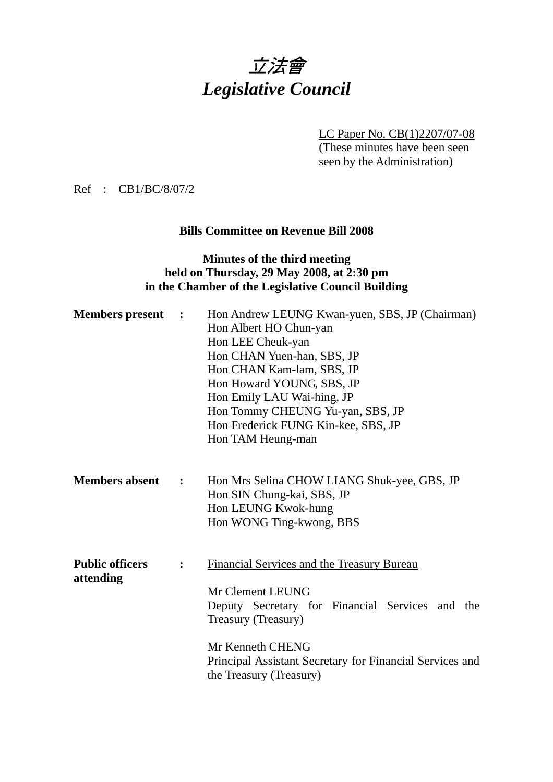

LC Paper No. CB(1)2207/07-08

(These minutes have been seen seen by the Administration)

Ref : CB1/BC/8/07/2

#### **Bills Committee on Revenue Bill 2008**

#### **Minutes of the third meeting held on Thursday, 29 May 2008, at 2:30 pm in the Chamber of the Legislative Council Building**

| <b>Members</b> present              | $\ddot{\phantom{1}}$ | Hon Andrew LEUNG Kwan-yuen, SBS, JP (Chairman)<br>Hon Albert HO Chun-yan<br>Hon LEE Cheuk-yan<br>Hon CHAN Yuen-han, SBS, JP<br>Hon CHAN Kam-lam, SBS, JP<br>Hon Howard YOUNG, SBS, JP<br>Hon Emily LAU Wai-hing, JP<br>Hon Tommy CHEUNG Yu-yan, SBS, JP<br>Hon Frederick FUNG Kin-kee, SBS, JP<br>Hon TAM Heung-man |
|-------------------------------------|----------------------|---------------------------------------------------------------------------------------------------------------------------------------------------------------------------------------------------------------------------------------------------------------------------------------------------------------------|
| <b>Members absent</b>               | $\ddot{\cdot}$       | Hon Mrs Selina CHOW LIANG Shuk-yee, GBS, JP<br>Hon SIN Chung-kai, SBS, JP<br>Hon LEUNG Kwok-hung<br>Hon WONG Ting-kwong, BBS                                                                                                                                                                                        |
| <b>Public officers</b><br>attending |                      | Financial Services and the Treasury Bureau<br>Mr Clement LEUNG<br>Deputy Secretary for Financial Services and the<br>Treasury (Treasury)<br>Mr Kenneth CHENG<br>Principal Assistant Secretary for Financial Services and<br>the Treasury (Treasury)                                                                 |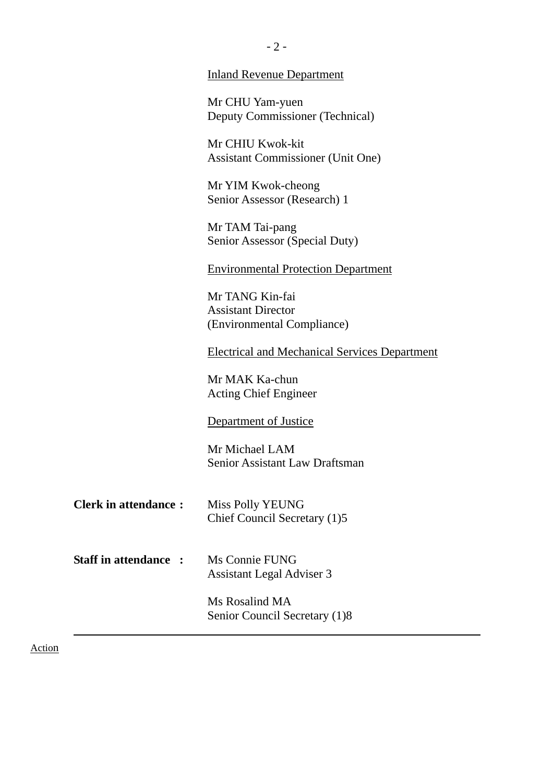|                             | Mr CHIU Kwok-kit<br><b>Assistant Commissioner (Unit One)</b>               |
|-----------------------------|----------------------------------------------------------------------------|
|                             | Mr YIM Kwok-cheong<br>Senior Assessor (Research) 1                         |
|                             | Mr TAM Tai-pang<br>Senior Assessor (Special Duty)                          |
|                             | <b>Environmental Protection Department</b>                                 |
|                             | Mr TANG Kin-fai<br><b>Assistant Director</b><br>(Environmental Compliance) |
|                             | <b>Electrical and Mechanical Services Department</b>                       |
|                             | Mr MAK Ka-chun<br><b>Acting Chief Engineer</b>                             |
|                             | Department of Justice                                                      |
|                             | Mr Michael LAM<br><b>Senior Assistant Law Draftsman</b>                    |
| <b>Clerk in attendance:</b> | <b>Miss Polly YEUNG</b><br>Chief Council Secretary (1)5                    |
| <b>Staff in attendance:</b> | Ms Connie FUNG<br>Assistant Legal Adviser 3                                |
|                             | Ms Rosalind MA<br>Senior Council Secretary (1)8                            |

Action

Inland Revenue Department

Deputy Commissioner (Technical)

Mr CHU Yam-yuen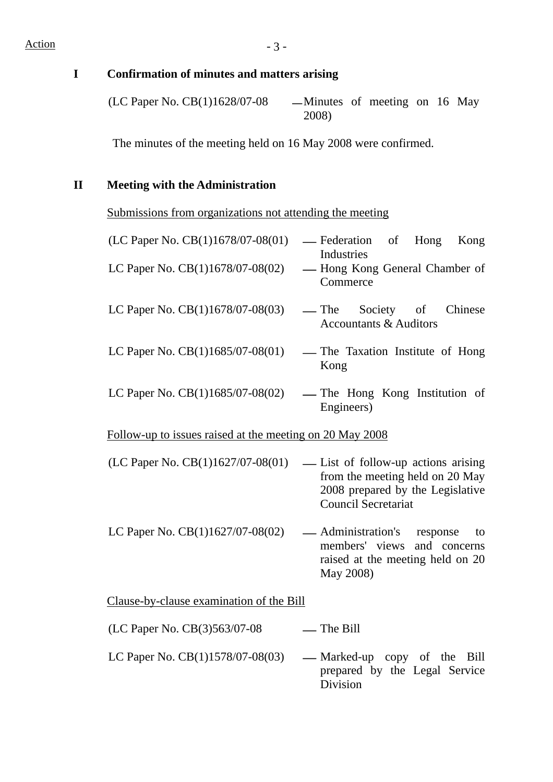**I Confirmation of minutes and matters arising** 

(LC Paper No. CB $(1)1628/07-08$  -Minutes of meeting on 16 May 2008)

The minutes of the meeting held on 16 May 2008 were confirmed.

## **II Meeting with the Administration**

Submissions from organizations not attending the meeting

| (LC Paper No. CB(1)1678/07-08(01)                        | — Federation<br>Hong<br>Kong<br>of<br>Industries                                                                                         |
|----------------------------------------------------------|------------------------------------------------------------------------------------------------------------------------------------------|
| LC Paper No. $CB(1)1678/07-08(02)$                       | - Hong Kong General Chamber of<br>Commerce                                                                                               |
| LC Paper No. $CB(1)1678/07-08(03)$                       | — The<br>Society of<br>Chinese<br><b>Accountants &amp; Auditors</b>                                                                      |
| LC Paper No. CB(1)1685/07-08(01)                         | — The Taxation Institute of Hong<br>Kong                                                                                                 |
| LC Paper No. $CB(1)1685/07-08(02)$                       | — The Hong Kong Institution of<br>Engineers)                                                                                             |
| Follow-up to issues raised at the meeting on 20 May 2008 |                                                                                                                                          |
| (LC Paper No. CB(1)1627/07-08(01)                        | - List of follow-up actions arising<br>from the meeting held on 20 May<br>2008 prepared by the Legislative<br><b>Council Secretariat</b> |
| LC Paper No. CB(1)1627/07-08(02)                         | — Administration's response<br>to<br>members' views<br>and concerns<br>raised at the meeting held on 20<br>May 2008)                     |
| Clause-by-clause examination of the Bill                 |                                                                                                                                          |
| (LC Paper No. CB(3)563/07-08                             | -The Bill                                                                                                                                |
| LC Paper No. CB(1)1578/07-08(03)                         | — Marked-up copy of the<br>Bill<br>prepared by the Legal Service                                                                         |

Division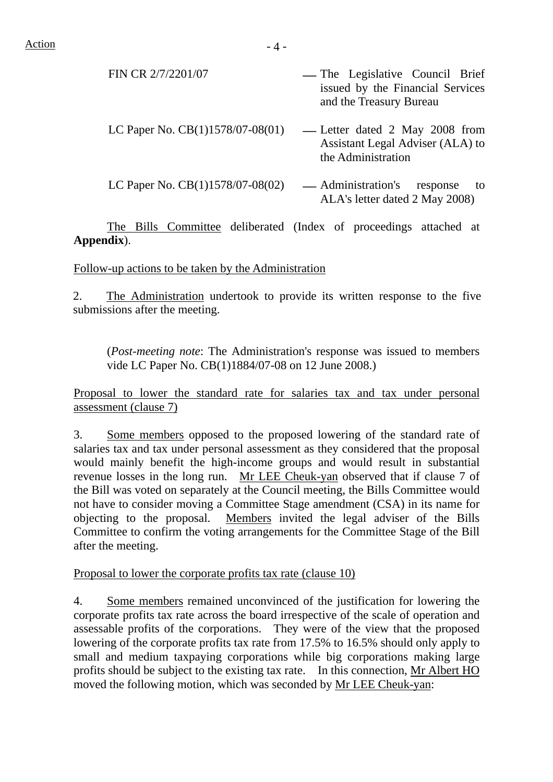| FIN CR 2/7/2201/07                 | — The Legislative Council Brief<br>issued by the Financial Services<br>and the Treasury Bureau |
|------------------------------------|------------------------------------------------------------------------------------------------|
| LC Paper No. $CB(1)1578/07-08(01)$ | -Letter dated 2 May 2008 from<br>Assistant Legal Adviser (ALA) to<br>the Administration        |
| LC Paper No. CB(1)1578/07-08(02)   | — Administration's<br>response<br>to<br>ALA's letter dated 2 May 2008)                         |

 The Bills Committee deliberated (Index of proceedings attached at **Appendix**).

Follow-up actions to be taken by the Administration

2. The Administration undertook to provide its written response to the five submissions after the meeting.

(*Post-meeting note*: The Administration's response was issued to members vide LC Paper No. CB(1)1884/07-08 on 12 June 2008.)

Proposal to lower the standard rate for salaries tax and tax under personal assessment (clause 7)

3. Some members opposed to the proposed lowering of the standard rate of salaries tax and tax under personal assessment as they considered that the proposal would mainly benefit the high-income groups and would result in substantial revenue losses in the long run. Mr LEE Cheuk-yan observed that if clause 7 of the Bill was voted on separately at the Council meeting, the Bills Committee would not have to consider moving a Committee Stage amendment (CSA) in its name for objecting to the proposal. Members invited the legal adviser of the Bills Committee to confirm the voting arrangements for the Committee Stage of the Bill after the meeting.

Proposal to lower the corporate profits tax rate (clause 10)

4. Some members remained unconvinced of the justification for lowering the corporate profits tax rate across the board irrespective of the scale of operation and assessable profits of the corporations. They were of the view that the proposed lowering of the corporate profits tax rate from 17.5% to 16.5% should only apply to small and medium taxpaying corporations while big corporations making large profits should be subject to the existing tax rate. In this connection, Mr Albert HO moved the following motion, which was seconded by Mr LEE Cheuk-yan: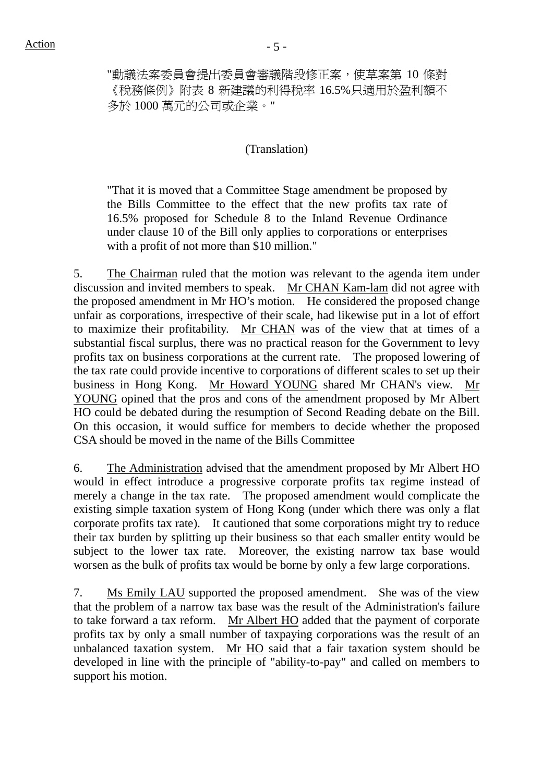"動議法案委員會提出委員會審議階段修正案,使草案第 10 條對 《稅務條例》附表 8 新建議的利得稅率 16.5%只適用於盈利額不 多於 1000 萬元的公司或企業。"

#### (Translation)

"That it is moved that a Committee Stage amendment be proposed by the Bills Committee to the effect that the new profits tax rate of 16.5% proposed for Schedule 8 to the Inland Revenue Ordinance under clause 10 of the Bill only applies to corporations or enterprises with a profit of not more than \$10 million."

5. The Chairman ruled that the motion was relevant to the agenda item under discussion and invited members to speak. Mr CHAN Kam-lam did not agree with the proposed amendment in Mr HO's motion. He considered the proposed change unfair as corporations, irrespective of their scale, had likewise put in a lot of effort to maximize their profitability. Mr CHAN was of the view that at times of a substantial fiscal surplus, there was no practical reason for the Government to levy profits tax on business corporations at the current rate. The proposed lowering of the tax rate could provide incentive to corporations of different scales to set up their business in Hong Kong. Mr Howard YOUNG shared Mr CHAN's view. Mr YOUNG opined that the pros and cons of the amendment proposed by Mr Albert HO could be debated during the resumption of Second Reading debate on the Bill. On this occasion, it would suffice for members to decide whether the proposed CSA should be moved in the name of the Bills Committee

6. The Administration advised that the amendment proposed by Mr Albert HO would in effect introduce a progressive corporate profits tax regime instead of merely a change in the tax rate. The proposed amendment would complicate the existing simple taxation system of Hong Kong (under which there was only a flat corporate profits tax rate). It cautioned that some corporations might try to reduce their tax burden by splitting up their business so that each smaller entity would be subject to the lower tax rate. Moreover, the existing narrow tax base would worsen as the bulk of profits tax would be borne by only a few large corporations.

7. Ms Emily LAU supported the proposed amendment. She was of the view that the problem of a narrow tax base was the result of the Administration's failure to take forward a tax reform. Mr Albert HO added that the payment of corporate profits tax by only a small number of taxpaying corporations was the result of an unbalanced taxation system. Mr HO said that a fair taxation system should be developed in line with the principle of "ability-to-pay" and called on members to support his motion.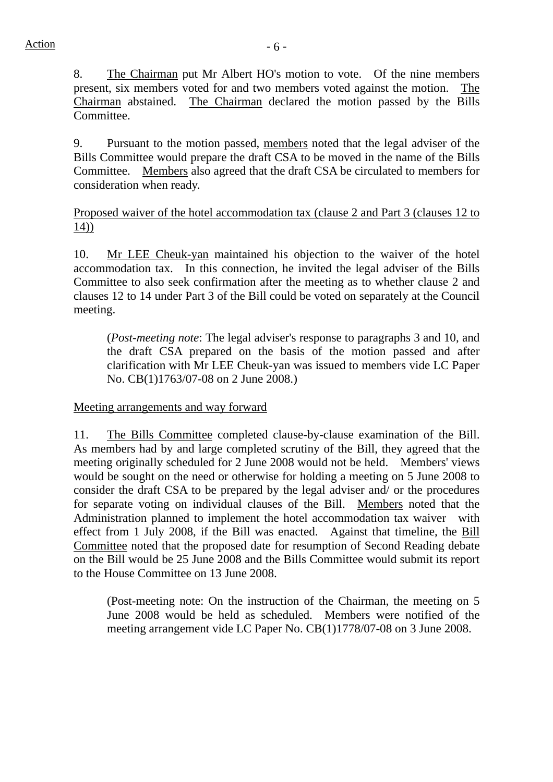8. The Chairman put Mr Albert HO's motion to vote. Of the nine members present, six members voted for and two members voted against the motion. The Chairman abstained. The Chairman declared the motion passed by the Bills Committee.

9. Pursuant to the motion passed, members noted that the legal adviser of the Bills Committee would prepare the draft CSA to be moved in the name of the Bills Committee. Members also agreed that the draft CSA be circulated to members for consideration when ready.

Proposed waiver of the hotel accommodation tax (clause 2 and Part 3 (clauses 12 to 14))

10. Mr LEE Cheuk-yan maintained his objection to the waiver of the hotel accommodation tax. In this connection, he invited the legal adviser of the Bills Committee to also seek confirmation after the meeting as to whether clause 2 and clauses 12 to 14 under Part 3 of the Bill could be voted on separately at the Council meeting.

(*Post-meeting note*: The legal adviser's response to paragraphs 3 and 10, and the draft CSA prepared on the basis of the motion passed and after clarification with Mr LEE Cheuk-yan was issued to members vide LC Paper No. CB(1)1763/07-08 on 2 June 2008.)

Meeting arrangements and way forward

11. The Bills Committee completed clause-by-clause examination of the Bill. As members had by and large completed scrutiny of the Bill, they agreed that the meeting originally scheduled for 2 June 2008 would not be held. Members' views would be sought on the need or otherwise for holding a meeting on 5 June 2008 to consider the draft CSA to be prepared by the legal adviser and/ or the procedures for separate voting on individual clauses of the Bill. Members noted that the Administration planned to implement the hotel accommodation tax waiver with effect from 1 July 2008, if the Bill was enacted. Against that timeline, the Bill Committee noted that the proposed date for resumption of Second Reading debate on the Bill would be 25 June 2008 and the Bills Committee would submit its report to the House Committee on 13 June 2008.

(Post-meeting note: On the instruction of the Chairman, the meeting on 5 June 2008 would be held as scheduled. Members were notified of the meeting arrangement vide LC Paper No. CB(1)1778/07-08 on 3 June 2008.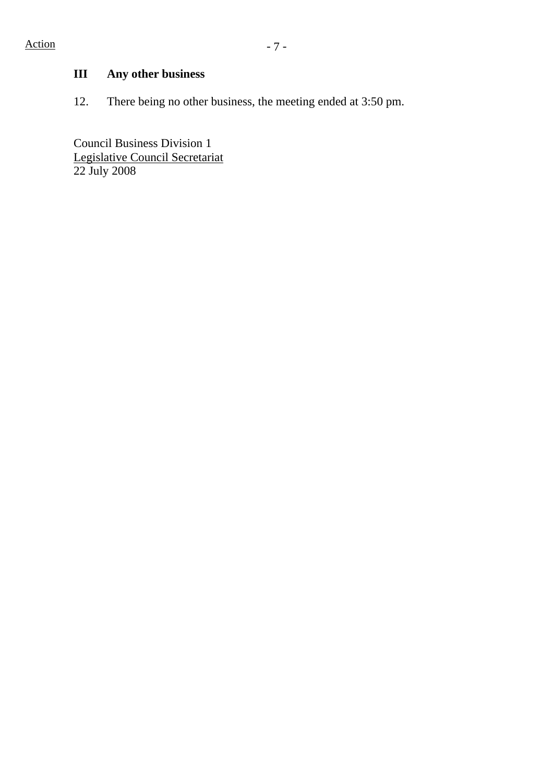# **III Any other business**

12. There being no other business, the meeting ended at 3:50 pm.

Council Business Division 1 Legislative Council Secretariat 22 July 2008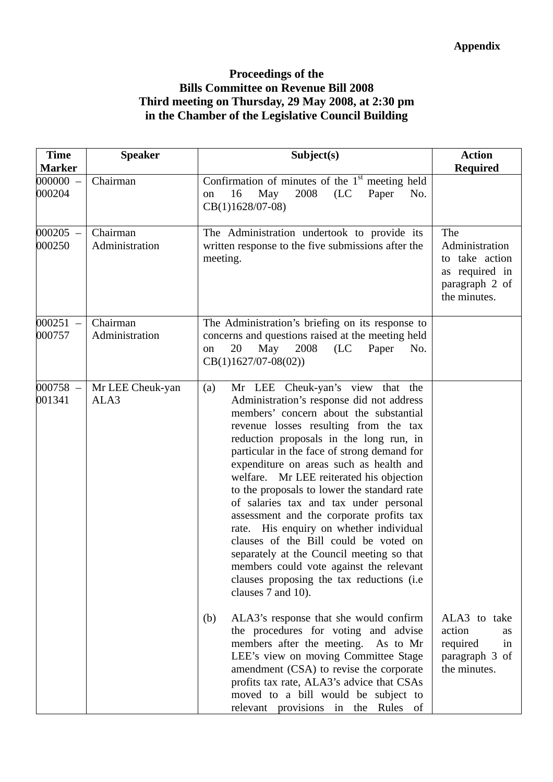### **Proceedings of the Bills Committee on Revenue Bill 2008 Third meeting on Thursday, 29 May 2008, at 2:30 pm in the Chamber of the Legislative Council Building**

| <b>Time</b><br><b>Marker</b> | <b>Speaker</b>             | Subject(s)                                                                                                                                                                                                                                                                                                                                                                                                                                                                                                                                                                                                                                                                                                                                    | <b>Action</b><br><b>Required</b>                                                               |
|------------------------------|----------------------------|-----------------------------------------------------------------------------------------------------------------------------------------------------------------------------------------------------------------------------------------------------------------------------------------------------------------------------------------------------------------------------------------------------------------------------------------------------------------------------------------------------------------------------------------------------------------------------------------------------------------------------------------------------------------------------------------------------------------------------------------------|------------------------------------------------------------------------------------------------|
| $000000 -$<br>000204         | Chairman                   | Confirmation of minutes of the $1st$ meeting held<br>2008<br>16<br>May<br>(LC)<br>Paper<br>No.<br>on<br>$CB(1)1628/07-08)$                                                                                                                                                                                                                                                                                                                                                                                                                                                                                                                                                                                                                    |                                                                                                |
| $000205 -$<br>000250         | Chairman<br>Administration | The Administration undertook to provide its<br>written response to the five submissions after the<br>meeting.                                                                                                                                                                                                                                                                                                                                                                                                                                                                                                                                                                                                                                 | The<br>Administration<br>take action<br>to<br>as required in<br>paragraph 2 of<br>the minutes. |
| $000251 -$<br>000757         | Chairman<br>Administration | The Administration's briefing on its response to<br>concerns and questions raised at the meeting held<br>20<br>May<br>2008<br>(LC)<br>Paper<br>No.<br>on<br>$CB(1)1627/07-08(02))$                                                                                                                                                                                                                                                                                                                                                                                                                                                                                                                                                            |                                                                                                |
| $000758 -$<br>001341         | Mr LEE Cheuk-yan<br>ALA3   | Mr LEE Cheuk-yan's view that the<br>(a)<br>Administration's response did not address<br>members' concern about the substantial<br>revenue losses resulting from the tax<br>reduction proposals in the long run, in<br>particular in the face of strong demand for<br>expenditure on areas such as health and<br>welfare. Mr LEE reiterated his objection<br>to the proposals to lower the standard rate<br>of salaries tax and tax under personal<br>assessment and the corporate profits tax<br>rate. His enquiry on whether individual<br>clauses of the Bill could be voted on<br>separately at the Council meeting so that<br>members could vote against the relevant<br>clauses proposing the tax reductions (i.e.<br>clauses 7 and 10). |                                                                                                |
|                              |                            | ALA3's response that she would confirm<br>(b)<br>the procedures for voting and advise<br>members after the meeting. As to Mr<br>LEE's view on moving Committee Stage<br>amendment (CSA) to revise the corporate<br>profits tax rate, ALA3's advice that CSAs<br>moved to a bill would be subject to<br>relevant provisions in the Rules of                                                                                                                                                                                                                                                                                                                                                                                                    | ALA3 to take<br>action<br>as<br>required<br>in<br>paragraph 3 of<br>the minutes.               |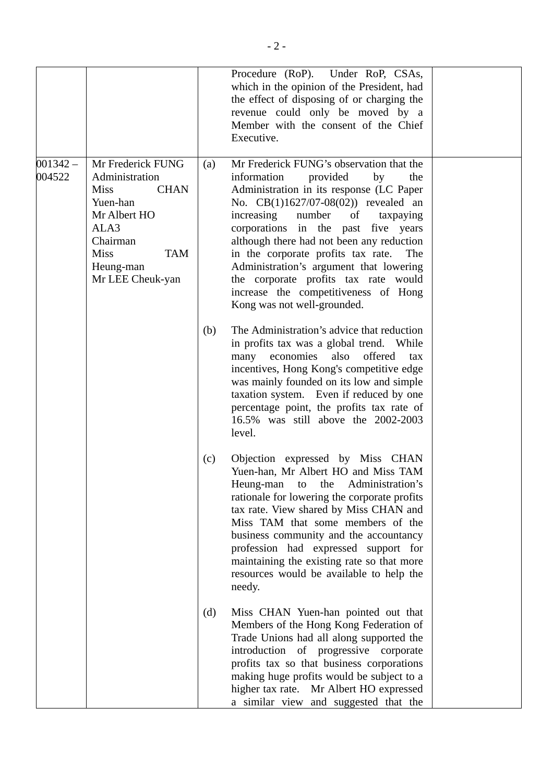|                      |                                                                                                                                                                                 |     | Procedure (RoP). Under RoP, CSAs,<br>which in the opinion of the President, had<br>the effect of disposing of or charging the<br>revenue could only be moved by a<br>Member with the consent of the Chief<br>Executive.                                                                                                                                                                                                                                                                              |  |
|----------------------|---------------------------------------------------------------------------------------------------------------------------------------------------------------------------------|-----|------------------------------------------------------------------------------------------------------------------------------------------------------------------------------------------------------------------------------------------------------------------------------------------------------------------------------------------------------------------------------------------------------------------------------------------------------------------------------------------------------|--|
| $001342 -$<br>004522 | Mr Frederick FUNG<br>Administration<br><b>Miss</b><br><b>CHAN</b><br>Yuen-han<br>Mr Albert HO<br>ALA3<br>Chairman<br><b>Miss</b><br><b>TAM</b><br>Heung-man<br>Mr LEE Cheuk-yan | (a) | Mr Frederick FUNG's observation that the<br>information<br>provided<br>by<br>the<br>Administration in its response (LC Paper<br>No. CB(1)1627/07-08(02)) revealed an<br>increasing number<br>of taxpaying<br>corporations in the past five years<br>although there had not been any reduction<br>in the corporate profits tax rate.<br>The<br>Administration's argument that lowering<br>the corporate profits tax rate would<br>increase the competitiveness of Hong<br>Kong was not well-grounded. |  |
|                      |                                                                                                                                                                                 | (b) | The Administration's advice that reduction<br>in profits tax was a global trend. While<br>many economies<br>also<br>offered<br>tax<br>incentives, Hong Kong's competitive edge<br>was mainly founded on its low and simple<br>taxation system. Even if reduced by one<br>percentage point, the profits tax rate of<br>16.5% was still above the 2002-2003<br>level.                                                                                                                                  |  |
|                      |                                                                                                                                                                                 | (c) | Objection expressed by Miss CHAN<br>Yuen-han, Mr Albert HO and Miss TAM<br>Heung-man to the Administration's<br>rationale for lowering the corporate profits<br>tax rate. View shared by Miss CHAN and<br>Miss TAM that some members of the<br>business community and the accountancy<br>profession had expressed support for<br>maintaining the existing rate so that more<br>resources would be available to help the<br>needy.                                                                    |  |
|                      |                                                                                                                                                                                 | (d) | Miss CHAN Yuen-han pointed out that<br>Members of the Hong Kong Federation of<br>Trade Unions had all along supported the<br>introduction of progressive corporate<br>profits tax so that business corporations<br>making huge profits would be subject to a<br>higher tax rate. Mr Albert HO expressed<br>a similar view and suggested that the                                                                                                                                                     |  |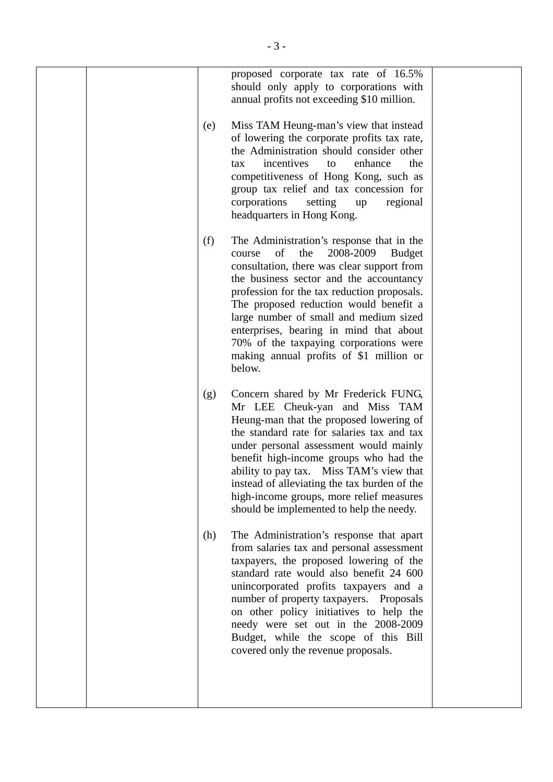|  |     | proposed corporate tax rate of 16.5%<br>should only apply to corporations with<br>annual profits not exceeding \$10 million.                                                                                                                                                                                                                                                                                                                                         |  |
|--|-----|----------------------------------------------------------------------------------------------------------------------------------------------------------------------------------------------------------------------------------------------------------------------------------------------------------------------------------------------------------------------------------------------------------------------------------------------------------------------|--|
|  | (e) | Miss TAM Heung-man's view that instead<br>of lowering the corporate profits tax rate,<br>the Administration should consider other<br>incentives<br>enhance<br>the<br>tax<br>to<br>competitiveness of Hong Kong, such as<br>group tax relief and tax concession for<br>corporations<br>setting<br>regional<br>up<br>headquarters in Hong Kong.                                                                                                                        |  |
|  | (f) | The Administration's response that in the<br>of<br>2008-2009<br>the<br><b>Budget</b><br>course<br>consultation, there was clear support from<br>the business sector and the accountancy<br>profession for the tax reduction proposals.<br>The proposed reduction would benefit a<br>large number of small and medium sized<br>enterprises, bearing in mind that about<br>70% of the taxpaying corporations were<br>making annual profits of \$1 million or<br>below. |  |
|  | (g) | Concern shared by Mr Frederick FUNG,<br>Mr LEE Cheuk-yan and Miss TAM<br>Heung-man that the proposed lowering of<br>the standard rate for salaries tax and tax<br>under personal assessment would mainly<br>benefit high-income groups who had the<br>ability to pay tax. Miss TAM's view that<br>instead of alleviating the tax burden of the<br>high-income groups, more relief measures<br>should be implemented to help the needy.                               |  |
|  | (h) | The Administration's response that apart<br>from salaries tax and personal assessment<br>taxpayers, the proposed lowering of the<br>standard rate would also benefit 24 600<br>unincorporated profits taxpayers and a<br>number of property taxpayers. Proposals<br>on other policy initiatives to help the<br>needy were set out in the 2008-2009<br>Budget, while the scope of this Bill<br>covered only the revenue proposals.                                    |  |
|  |     |                                                                                                                                                                                                                                                                                                                                                                                                                                                                      |  |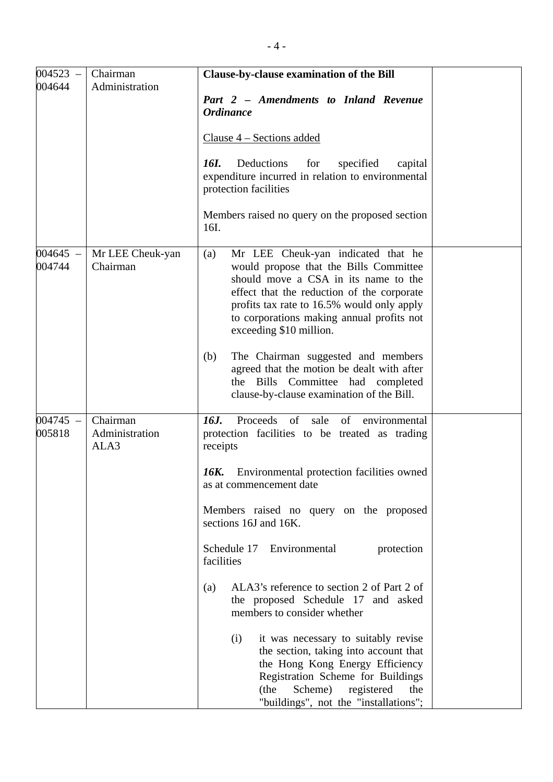| $004523 -$           | Chairman                           | Clause-by-clause examination of the Bill                                                                                                                                                                                                                                                        |  |
|----------------------|------------------------------------|-------------------------------------------------------------------------------------------------------------------------------------------------------------------------------------------------------------------------------------------------------------------------------------------------|--|
| 004644               | Administration                     | Part 2 - Amendments to Inland Revenue<br><b>Ordinance</b>                                                                                                                                                                                                                                       |  |
|                      |                                    | Clause 4 - Sections added                                                                                                                                                                                                                                                                       |  |
|                      |                                    | Deductions<br>16I.<br>for<br>specified<br>capital<br>expenditure incurred in relation to environmental<br>protection facilities                                                                                                                                                                 |  |
|                      |                                    | Members raised no query on the proposed section<br>16I.                                                                                                                                                                                                                                         |  |
| $004645 -$<br>004744 | Mr LEE Cheuk-yan<br>Chairman       | Mr LEE Cheuk-yan indicated that he<br>(a)<br>would propose that the Bills Committee<br>should move a CSA in its name to the<br>effect that the reduction of the corporate<br>profits tax rate to 16.5% would only apply<br>to corporations making annual profits not<br>exceeding \$10 million. |  |
|                      |                                    | The Chairman suggested and members<br>(b)<br>agreed that the motion be dealt with after<br>the Bills Committee had completed<br>clause-by-clause examination of the Bill.                                                                                                                       |  |
| $004745 -$<br>005818 | Chairman<br>Administration<br>ALA3 | Proceeds of sale of<br>16J.<br>environmental<br>protection facilities to be treated as trading<br>receipts                                                                                                                                                                                      |  |
|                      |                                    | 16K.<br>Environmental protection facilities owned<br>as at commencement date                                                                                                                                                                                                                    |  |
|                      |                                    | Members raised no query on the proposed<br>sections 16J and 16K.                                                                                                                                                                                                                                |  |
|                      |                                    | Schedule 17<br>Environmental<br>protection<br>facilities                                                                                                                                                                                                                                        |  |
|                      |                                    | ALA3's reference to section 2 of Part 2 of<br>(a)<br>the proposed Schedule 17 and asked<br>members to consider whether                                                                                                                                                                          |  |
|                      |                                    | it was necessary to suitably revise<br>(i)<br>the section, taking into account that<br>the Hong Kong Energy Efficiency<br>Registration Scheme for Buildings<br>Scheme)<br>registered<br>(the<br>the<br>"buildings", not the "installations";                                                    |  |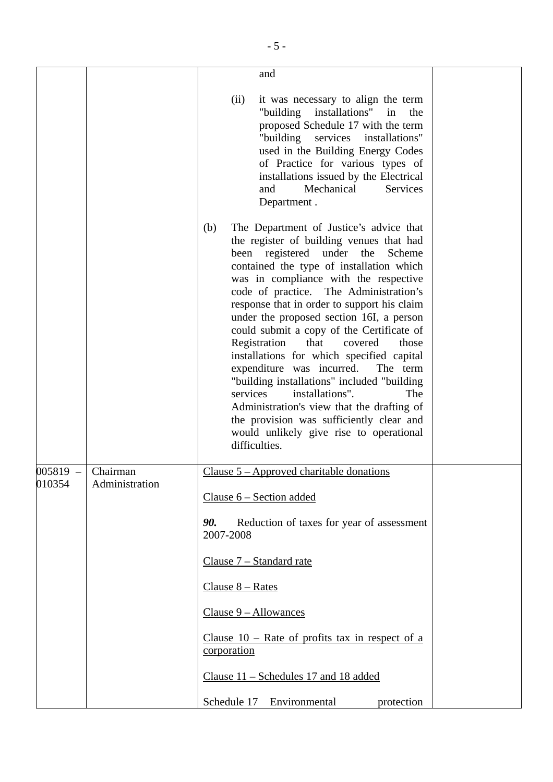|        |                     | and                                                                                                                                                                                                                                                                                                                                                                                                                                                                                                                                                                                                                                                                                                                                                                                   |
|--------|---------------------|---------------------------------------------------------------------------------------------------------------------------------------------------------------------------------------------------------------------------------------------------------------------------------------------------------------------------------------------------------------------------------------------------------------------------------------------------------------------------------------------------------------------------------------------------------------------------------------------------------------------------------------------------------------------------------------------------------------------------------------------------------------------------------------|
|        |                     | it was necessary to align the term<br>(ii)<br>"building installations" in<br>the<br>proposed Schedule 17 with the term<br>"building<br>services<br>installations"<br>used in the Building Energy Codes<br>of Practice for various types of<br>installations issued by the Electrical<br>Mechanical<br>Services<br>and<br>Department.                                                                                                                                                                                                                                                                                                                                                                                                                                                  |
|        |                     | The Department of Justice's advice that<br>(b)<br>the register of building venues that had<br>been registered under the<br>Scheme<br>contained the type of installation which<br>was in compliance with the respective<br>code of practice. The Administration's<br>response that in order to support his claim<br>under the proposed section 16I, a person<br>could submit a copy of the Certificate of<br>Registration<br>that<br>covered<br>those<br>installations for which specified capital<br>expenditure was incurred.<br>The term<br>"building installations" included "building<br>installations".<br>services<br>The<br>Administration's view that the drafting of<br>the provision was sufficiently clear and<br>would unlikely give rise to operational<br>difficulties. |
|        | $005819$ – Chairman | Clause $5 -$ Approved charitable donations                                                                                                                                                                                                                                                                                                                                                                                                                                                                                                                                                                                                                                                                                                                                            |
| 010354 | Administration      | Clause $6$ – Section added                                                                                                                                                                                                                                                                                                                                                                                                                                                                                                                                                                                                                                                                                                                                                            |
|        |                     | Reduction of taxes for year of assessment<br>90.<br>2007-2008                                                                                                                                                                                                                                                                                                                                                                                                                                                                                                                                                                                                                                                                                                                         |
|        |                     | Clause 7 - Standard rate                                                                                                                                                                                                                                                                                                                                                                                                                                                                                                                                                                                                                                                                                                                                                              |
|        |                     | Clause $8 - Rates$                                                                                                                                                                                                                                                                                                                                                                                                                                                                                                                                                                                                                                                                                                                                                                    |
|        |                     | $Clause 9 - Allowances$                                                                                                                                                                                                                                                                                                                                                                                                                                                                                                                                                                                                                                                                                                                                                               |
|        |                     | Clause $10$ – Rate of profits tax in respect of a<br>corporation                                                                                                                                                                                                                                                                                                                                                                                                                                                                                                                                                                                                                                                                                                                      |
|        |                     | Clause 11 - Schedules 17 and 18 added                                                                                                                                                                                                                                                                                                                                                                                                                                                                                                                                                                                                                                                                                                                                                 |
|        |                     | Environmental<br>Schedule 17<br>protection                                                                                                                                                                                                                                                                                                                                                                                                                                                                                                                                                                                                                                                                                                                                            |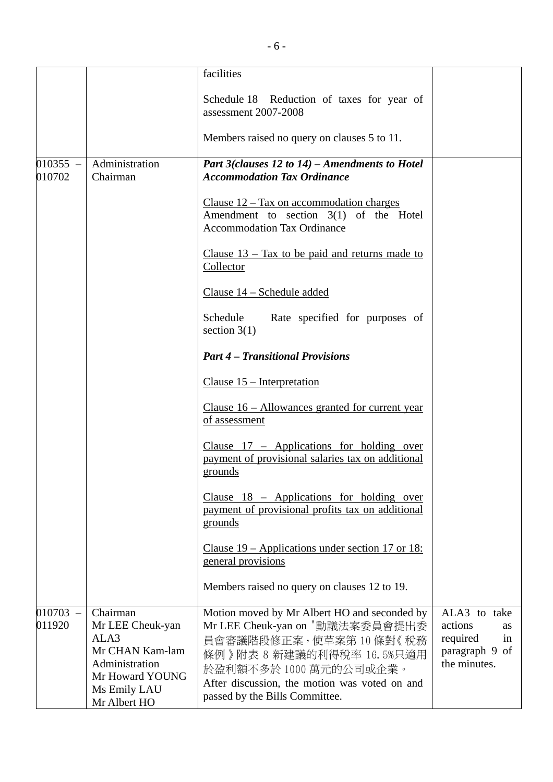|                      |                                                                                                                              | facilities                                                                                                                                                                                                                                       |                                                                                   |
|----------------------|------------------------------------------------------------------------------------------------------------------------------|--------------------------------------------------------------------------------------------------------------------------------------------------------------------------------------------------------------------------------------------------|-----------------------------------------------------------------------------------|
|                      |                                                                                                                              | Schedule 18 Reduction of taxes for year of<br>assessment 2007-2008                                                                                                                                                                               |                                                                                   |
|                      |                                                                                                                              | Members raised no query on clauses 5 to 11.                                                                                                                                                                                                      |                                                                                   |
| $010355 -$<br>010702 | Administration<br>Chairman                                                                                                   | Part 3(clauses 12 to 14) – Amendments to Hotel<br><b>Accommodation Tax Ordinance</b>                                                                                                                                                             |                                                                                   |
|                      |                                                                                                                              | Clause $12 - Tax on a commonation charges$<br>Amendment to section 3(1) of the Hotel<br><b>Accommodation Tax Ordinance</b>                                                                                                                       |                                                                                   |
|                      |                                                                                                                              | Clause $13 - Tax$ to be paid and returns made to<br>Collector                                                                                                                                                                                    |                                                                                   |
|                      |                                                                                                                              | Clause 14 - Schedule added                                                                                                                                                                                                                       |                                                                                   |
|                      |                                                                                                                              | Schedule<br>Rate specified for purposes of<br>section $3(1)$                                                                                                                                                                                     |                                                                                   |
|                      |                                                                                                                              | <b>Part 4 - Transitional Provisions</b>                                                                                                                                                                                                          |                                                                                   |
|                      |                                                                                                                              | Clause $15$ – Interpretation                                                                                                                                                                                                                     |                                                                                   |
|                      |                                                                                                                              | Clause $16$ – Allowances granted for current year<br>of assessment                                                                                                                                                                               |                                                                                   |
|                      |                                                                                                                              | Clause $17$ – Applications for holding over<br>payment of provisional salaries tax on additional<br>grounds                                                                                                                                      |                                                                                   |
|                      |                                                                                                                              | Clause $18$ – Applications for holding over<br>payment of provisional profits tax on additional<br>grounds                                                                                                                                       |                                                                                   |
|                      |                                                                                                                              | Clause $19$ – Applications under section 17 or 18:<br>general provisions                                                                                                                                                                         |                                                                                   |
|                      |                                                                                                                              | Members raised no query on clauses 12 to 19.                                                                                                                                                                                                     |                                                                                   |
| $010703 -$<br>011920 | Chairman<br>Mr LEE Cheuk-yan<br>ALA3<br>Mr CHAN Kam-lam<br>Administration<br>Mr Howard YOUNG<br>Ms Emily LAU<br>Mr Albert HO | Motion moved by Mr Albert HO and seconded by<br>Mr LEE Cheuk-yan on "動議法案委員會提出委<br>員會審議階段修正案,使草案第10條對《稅務<br>條例》附表 8 新建議的利得稅率 16.5%只適用<br>於盈利額不多於1000萬元的公司或企業。<br>After discussion, the motion was voted on and<br>passed by the Bills Committee. | ALA3 to take<br>actions<br>as<br>required<br>in<br>paragraph 9 of<br>the minutes. |